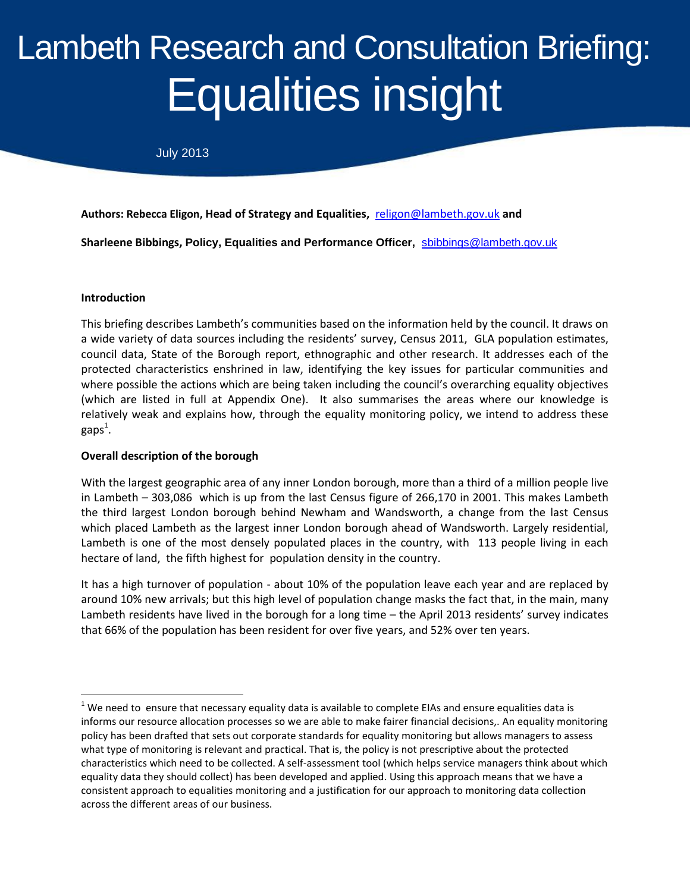# **Duty Equalities insight** Lambeth Research and Consultation Briefing:

July 2013

**Authors: Rebecca Eligon, Head of Strategy and Equalities,** [religon@lambeth.gov.uk](mailto:religon@lambeth.gov.uk) **and**

**Sharleene Bibbings, Policy, Equalities and Performance Officer,** [sbibbings@lambeth.gov.uk](mailto:sbibbings@lambeth.gov.uk)

#### **Introduction**

 $\overline{\phantom{a}}$ 

This briefing describes Lambeth's communities based on the information held by the council. It draws on a wide variety of data sources including the residents' survey, Census 2011, GLA population estimates, council data, State of the Borough report, ethnographic and other research. It addresses each of the protected characteristics enshrined in law, identifying the key issues for particular communities and where possible the actions which are being taken including the council's overarching equality objectives (which are listed in full at Appendix One). It also summarises the areas where our knowledge is relatively weak and explains how, through the equality monitoring policy, we intend to address these gaps $^{\rm 1}.$ 

# **Overall description of the borough**

With the largest geographic area of any inner London borough, more than a third of a million people live in Lambeth – 303,086 which is up from the last Census figure of 266,170 in 2001. This makes Lambeth the third largest London borough behind Newham and Wandsworth, a change from the last Census which placed Lambeth as the largest inner London borough ahead of Wandsworth. Largely residential, Lambeth is one of the most densely populated places in the country, with 113 people living in each hectare of land, the fifth highest for population density in the country.

It has a high turnover of population - about 10% of the population leave each year and are replaced by around 10% new arrivals; but this high level of population change masks the fact that, in the main, many Lambeth residents have lived in the borough for a long time – the April 2013 residents' survey indicates that 66% of the population has been resident for over five years, and 52% over ten years.

 $1$  We need to ensure that necessary equality data is available to complete EIAs and ensure equalities data is informs our resource allocation processes so we are able to make fairer financial decisions,. An equality monitoring policy has been drafted that sets out corporate standards for equality monitoring but allows managers to assess what type of monitoring is relevant and practical. That is, the policy is not prescriptive about the protected characteristics which need to be collected. A self-assessment tool (which helps service managers think about which equality data they should collect) has been developed and applied. Using this approach means that we have a consistent approach to equalities monitoring and a justification for our approach to monitoring data collection across the different areas of our business.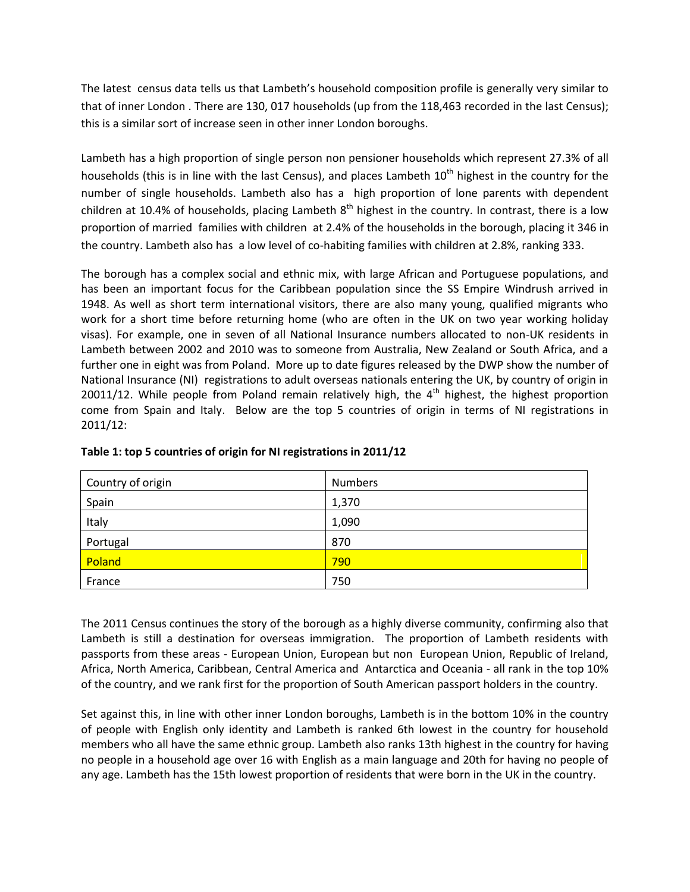The latest census data tells us that Lambeth's household composition profile is generally very similar to that of inner London . There are 130, 017 households (up from the 118,463 recorded in the last Census); this is a similar sort of increase seen in other inner London boroughs.

Lambeth has a high proportion of single person non pensioner households which represent 27.3% of all households (this is in line with the last Census), and places Lambeth 10<sup>th</sup> highest in the country for the number of single households. Lambeth also has a high proportion of lone parents with dependent children at 10.4% of households, placing Lambeth  $8^{th}$  highest in the country. In contrast, there is a low proportion of married families with children at 2.4% of the households in the borough, placing it 346 in the country. Lambeth also has a low level of co-habiting families with children at 2.8%, ranking 333.

The borough has a complex social and ethnic mix, with large African and Portuguese populations, and has been an important focus for the Caribbean population since the SS Empire Windrush arrived in 1948. As well as short term international visitors, there are also many young, qualified migrants who work for a short time before returning home (who are often in the UK on two year working holiday visas). For example, one in seven of all National Insurance numbers allocated to non-UK residents in Lambeth between 2002 and 2010 was to someone from Australia, New Zealand or South Africa, and a further one in eight was from Poland. More up to date figures released by the DWP show the number of National Insurance (NI) registrations to adult overseas nationals entering the UK, by country of origin in 20011/12. While people from Poland remain relatively high, the  $4<sup>th</sup>$  highest, the highest proportion come from Spain and Italy. Below are the top 5 countries of origin in terms of NI registrations in 2011/12:

| Country of origin | <b>Numbers</b> |
|-------------------|----------------|
| Spain             | 1,370          |
| Italy             | 1,090          |
| Portugal          | 870            |
| Poland            | 790            |
| France            | 750            |

**Table 1: top 5 countries of origin for NI registrations in 2011/12**

The 2011 Census continues the story of the borough as a highly diverse community, confirming also that Lambeth is still a destination for overseas immigration. The proportion of Lambeth residents with passports from these areas - European Union, European but non European Union, Republic of Ireland, Africa, North America, Caribbean, Central America and Antarctica and Oceania - all rank in the top 10% of the country, and we rank first for the proportion of South American passport holders in the country.

Set against this, in line with other inner London boroughs, Lambeth is in the bottom 10% in the country of people with English only identity and Lambeth is ranked 6th lowest in the country for household members who all have the same ethnic group. Lambeth also ranks 13th highest in the country for having no people in a household age over 16 with English as a main language and 20th for having no people of any age. Lambeth has the 15th lowest proportion of residents that were born in the UK in the country.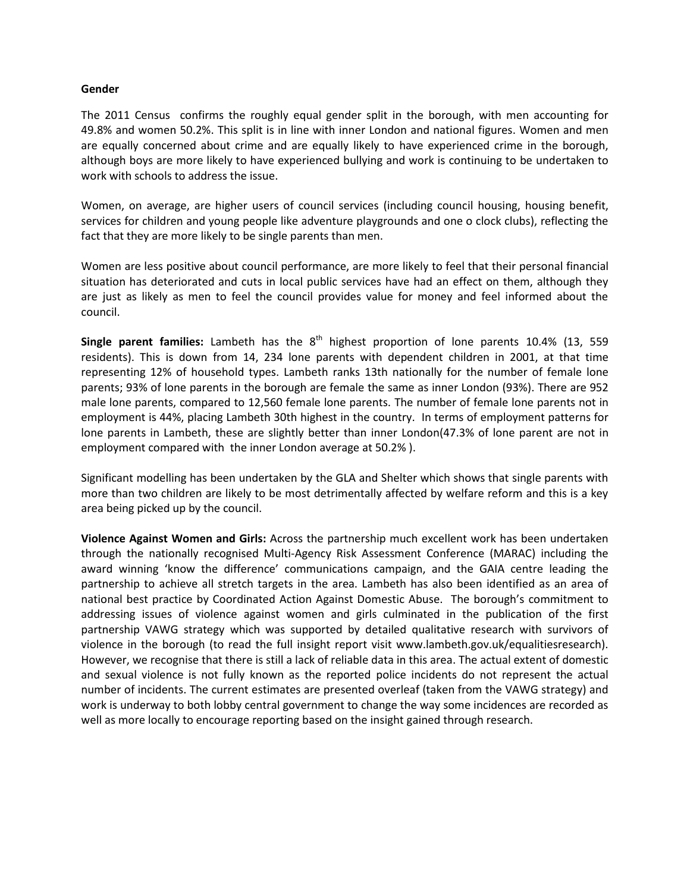#### **Gender**

The 2011 Census confirms the roughly equal gender split in the borough, with men accounting for 49.8% and women 50.2%. This split is in line with inner London and national figures. Women and men are equally concerned about crime and are equally likely to have experienced crime in the borough, although boys are more likely to have experienced bullying and work is continuing to be undertaken to work with schools to address the issue.

Women, on average, are higher users of council services (including council housing, housing benefit, services for children and young people like adventure playgrounds and one o clock clubs), reflecting the fact that they are more likely to be single parents than men.

Women are less positive about council performance, are more likely to feel that their personal financial situation has deteriorated and cuts in local public services have had an effect on them, although they are just as likely as men to feel the council provides value for money and feel informed about the council.

**Single parent families:** Lambeth has the 8<sup>th</sup> highest proportion of lone parents 10.4% (13, 559 residents). This is down from 14, 234 lone parents with dependent children in 2001, at that time representing 12% of household types. Lambeth ranks 13th nationally for the number of female lone parents; 93% of lone parents in the borough are female the same as inner London (93%). There are 952 male lone parents, compared to 12,560 female lone parents. The number of female lone parents not in employment is 44%, placing Lambeth 30th highest in the country. In terms of employment patterns for lone parents in Lambeth, these are slightly better than inner London(47.3% of lone parent are not in employment compared with the inner London average at 50.2% ).

Significant modelling has been undertaken by the GLA and Shelter which shows that single parents with more than two children are likely to be most detrimentally affected by welfare reform and this is a key area being picked up by the council.

**Violence Against Women and Girls:** Across the partnership much excellent work has been undertaken through the nationally recognised Multi-Agency Risk Assessment Conference (MARAC) including the award winning 'know the difference' communications campaign, and the GAIA centre leading the partnership to achieve all stretch targets in the area. Lambeth has also been identified as an area of national best practice by Coordinated Action Against Domestic Abuse. The borough's commitment to addressing issues of violence against women and girls culminated in the publication of the first partnership VAWG strategy which was supported by detailed qualitative research with survivors of violence in the borough (to read the full insight report visit www.lambeth.gov.uk/equalitiesresearch). However, we recognise that there is still a lack of reliable data in this area. The actual extent of domestic and sexual violence is not fully known as the reported police incidents do not represent the actual number of incidents. The current estimates are presented overleaf (taken from the VAWG strategy) and work is underway to both lobby central government to change the way some incidences are recorded as well as more locally to encourage reporting based on the insight gained through research.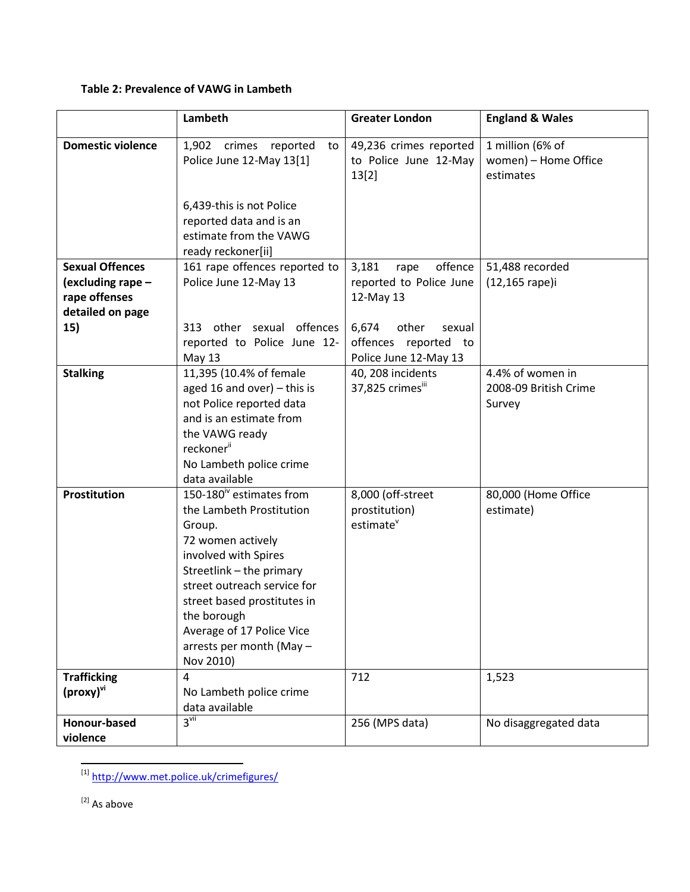# **Table 2: Prevalence of VAWG in Lambeth**

|                                                                                         | Lambeth                                                                                                                                                                                                                                                                                                | <b>Greater London</b>                                                                        | <b>England &amp; Wales</b>                            |
|-----------------------------------------------------------------------------------------|--------------------------------------------------------------------------------------------------------------------------------------------------------------------------------------------------------------------------------------------------------------------------------------------------------|----------------------------------------------------------------------------------------------|-------------------------------------------------------|
| <b>Domestic violence</b>                                                                | crimes<br>reported<br>1,902<br>to<br>Police June 12-May 13[1]                                                                                                                                                                                                                                          | 49,236 crimes reported<br>to Police June 12-May<br>13[2]                                     | 1 million (6% of<br>women) - Home Office<br>estimates |
|                                                                                         | 6,439-this is not Police<br>reported data and is an<br>estimate from the VAWG<br>ready reckoner[ii]                                                                                                                                                                                                    |                                                                                              |                                                       |
| <b>Sexual Offences</b><br>(excluding rape -<br>rape offenses<br>detailed on page<br>15) | 161 rape offences reported to<br>Police June 12-May 13<br>313 other sexual offences                                                                                                                                                                                                                    | offence<br>3,181<br>rape<br>reported to Police June<br>12-May 13<br>6,674<br>other<br>sexual | 51,488 recorded<br>(12,165 rape)i                     |
|                                                                                         | reported to Police June 12-<br><b>May 13</b>                                                                                                                                                                                                                                                           | offences reported to<br>Police June 12-May 13                                                |                                                       |
| <b>Stalking</b>                                                                         | 11,395 (10.4% of female<br>aged 16 and over) $-$ this is<br>not Police reported data<br>and is an estimate from<br>the VAWG ready<br>reckoner <sup>ii</sup><br>No Lambeth police crime<br>data available                                                                                               | 40, 208 incidents<br>37,825 crimesiii                                                        | 4.4% of women in<br>2008-09 British Crime<br>Survey   |
| Prostitution                                                                            | 150-180 <sup>iv</sup> estimates from<br>the Lambeth Prostitution<br>Group.<br>72 women actively<br>involved with Spires<br>Streetlink - the primary<br>street outreach service for<br>street based prostitutes in<br>the borough<br>Average of 17 Police Vice<br>arrests per month (May -<br>Nov 2010) | 8,000 (off-street<br>prostitution)<br>estimate <sup>v</sup>                                  | 80,000 (Home Office<br>estimate)                      |
| <b>Trafficking</b><br>(proxy) <sup>vi</sup>                                             | 4<br>No Lambeth police crime<br>data available                                                                                                                                                                                                                                                         | 712                                                                                          | 1,523                                                 |
| Honour-based<br>violence                                                                | $3^{\text{vii}}$                                                                                                                                                                                                                                                                                       | 256 (MPS data)                                                                               | No disaggregated data                                 |

<sup>&</sup>lt;sup>[1]</sup> <http://www.met.police.uk/crimefigures/>

 $\mathbf{r}$ 

[2] As above

 $\overline{\phantom{a}}$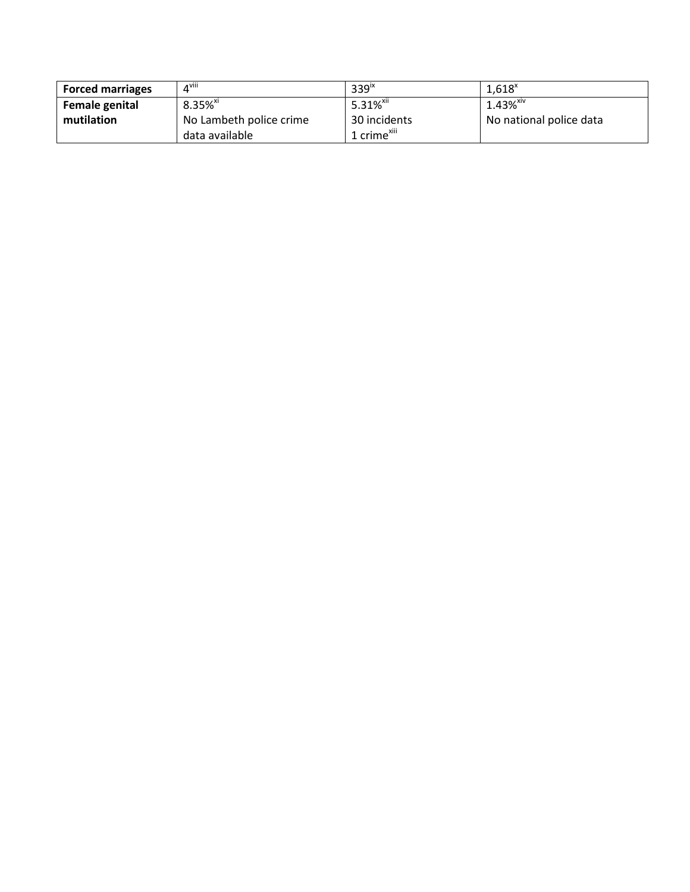| <b>Forced marriages</b> | $4^{\text{viii}}$       | 339 <sup>ix</sup>       | $1,618^x$               |
|-------------------------|-------------------------|-------------------------|-------------------------|
| <b>Female genital</b>   | $8.35%$ <sup>xi</sup>   | 5.31% <sup>xii</sup>    | $1.43%$ <sup>xiv</sup>  |
| mutilation              | No Lambeth police crime | 30 incidents            | No national police data |
|                         | data available          | 1 crime <sup>xiii</sup> |                         |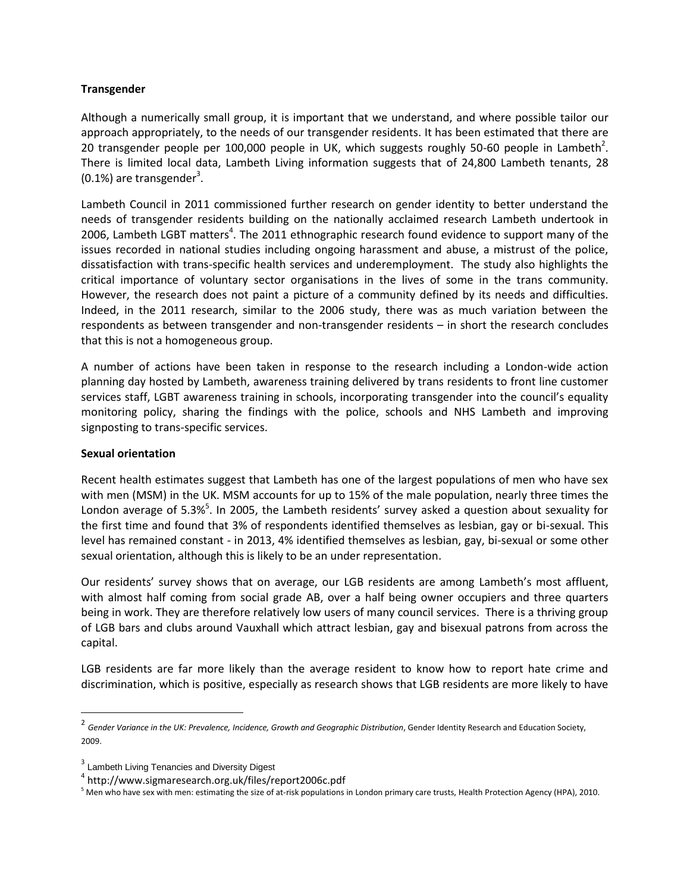# **Transgender**

Although a numerically small group, it is important that we understand, and where possible tailor our approach appropriately, to the needs of our transgender residents. It has been estimated that there are 20 transgender people per 100,000 people in UK, which suggests roughly 50-60 people in Lambeth<sup>2</sup>. There is limited local data, Lambeth Living information suggests that of 24,800 Lambeth tenants, 28  $(0.1%)$  are transgender<sup>3</sup>.

Lambeth Council in 2011 commissioned further research on gender identity to better understand the needs of transgender residents building on the nationally acclaimed research Lambeth undertook in 2006, Lambeth LGBT matters<sup>4</sup>. The 2011 ethnographic research found evidence to support many of the issues recorded in national studies including ongoing harassment and abuse, a mistrust of the police, dissatisfaction with trans-specific health services and underemployment. The study also highlights the critical importance of voluntary sector organisations in the lives of some in the trans community. However, the research does not paint a picture of a community defined by its needs and difficulties. Indeed, in the 2011 research, similar to the 2006 study, there was as much variation between the respondents as between transgender and non-transgender residents – in short the research concludes that this is not a homogeneous group.

A number of actions have been taken in response to the research including a London-wide action planning day hosted by Lambeth, awareness training delivered by trans residents to front line customer services staff, LGBT awareness training in schools, incorporating transgender into the council's equality monitoring policy, sharing the findings with the police, schools and NHS Lambeth and improving signposting to trans-specific services.

#### **Sexual orientation**

l

Recent health estimates suggest that Lambeth has one of the largest populations of men who have sex with men (MSM) in the UK. MSM accounts for up to 15% of the male population, nearly three times the London average of 5.3%<sup>5</sup>. In 2005, the Lambeth residents' survey asked a question about sexuality for the first time and found that 3% of respondents identified themselves as lesbian, gay or bi-sexual. This level has remained constant - in 2013, 4% identified themselves as lesbian, gay, bi-sexual or some other sexual orientation, although this is likely to be an under representation.

Our residents' survey shows that on average, our LGB residents are among Lambeth's most affluent, with almost half coming from social grade AB, over a half being owner occupiers and three quarters being in work. They are therefore relatively low users of many council services. There is a thriving group of LGB bars and clubs around Vauxhall which attract lesbian, gay and bisexual patrons from across the capital.

LGB residents are far more likely than the average resident to know how to report hate crime and discrimination, which is positive, especially as research shows that LGB residents are more likely to have

<sup>&</sup>lt;sup>2</sup> Gender Variance in the UK: Prevalence, Incidence, Growth and Geographic Distribution, Gender Identity Research and Education Society, 2009.

<sup>&</sup>lt;sup>3</sup> Lambeth Living Tenancies and Diversity Digest

<sup>4</sup> http://www.sigmaresearch.org.uk/files/report2006c.pdf

<sup>&</sup>lt;sup>5</sup> Men who have sex with men: estimating the size of at-risk populations in London primary care trusts, Health Protection Agency (HPA), 2010.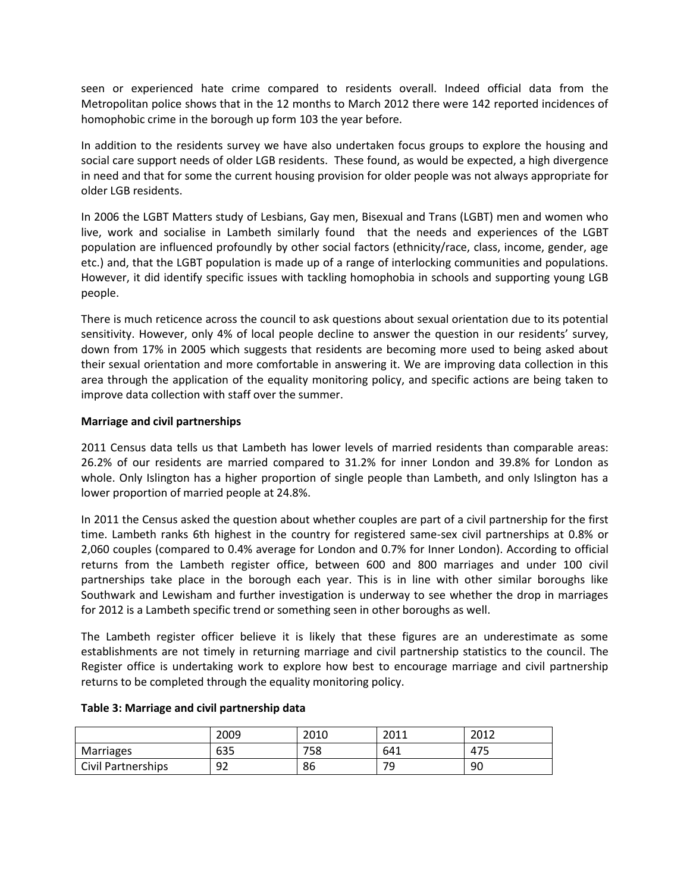seen or experienced hate crime compared to residents overall. Indeed official data from the Metropolitan police shows that in the 12 months to March 2012 there were 142 reported incidences of homophobic crime in the borough up form 103 the year before.

In addition to the residents survey we have also undertaken focus groups to explore the housing and social care support needs of older LGB residents. These found, as would be expected, a high divergence in need and that for some the current housing provision for older people was not always appropriate for older LGB residents.

In 2006 the LGBT Matters study of Lesbians, Gay men, Bisexual and Trans (LGBT) men and women who live, work and socialise in Lambeth similarly found that the needs and experiences of the LGBT population are influenced profoundly by other social factors (ethnicity/race, class, income, gender, age etc.) and, that the LGBT population is made up of a range of interlocking communities and populations. However, it did identify specific issues with tackling homophobia in schools and supporting young LGB people.

There is much reticence across the council to ask questions about sexual orientation due to its potential sensitivity. However, only 4% of local people decline to answer the question in our residents' survey, down from 17% in 2005 which suggests that residents are becoming more used to being asked about their sexual orientation and more comfortable in answering it. We are improving data collection in this area through the application of the equality monitoring policy, and specific actions are being taken to improve data collection with staff over the summer.

#### **Marriage and civil partnerships**

2011 Census data tells us that Lambeth has lower levels of married residents than comparable areas: 26.2% of our residents are married compared to 31.2% for inner London and 39.8% for London as whole. Only Islington has a higher proportion of single people than Lambeth, and only Islington has a lower proportion of married people at 24.8%.

In 2011 the Census asked the question about whether couples are part of a civil partnership for the first time. Lambeth ranks 6th highest in the country for registered same-sex civil partnerships at 0.8% or 2,060 couples (compared to 0.4% average for London and 0.7% for Inner London). According to official returns from the Lambeth register office, between 600 and 800 marriages and under 100 civil partnerships take place in the borough each year. This is in line with other similar boroughs like Southwark and Lewisham and further investigation is underway to see whether the drop in marriages for 2012 is a Lambeth specific trend or something seen in other boroughs as well.

The Lambeth register officer believe it is likely that these figures are an underestimate as some establishments are not timely in returning marriage and civil partnership statistics to the council. The Register office is undertaking work to explore how best to encourage marriage and civil partnership returns to be completed through the equality monitoring policy.

|                    | 2009 | 2010      | 2011 | ר וחר<br>ZUIZ   |
|--------------------|------|-----------|------|-----------------|
| Marriages          | 635  | ᄀᆮᅌ<br>эŏ | 641  | 47 <sup>°</sup> |
| Civil Partnerships | 92   | 86        | 79   | 90              |

#### **Table 3: Marriage and civil partnership data**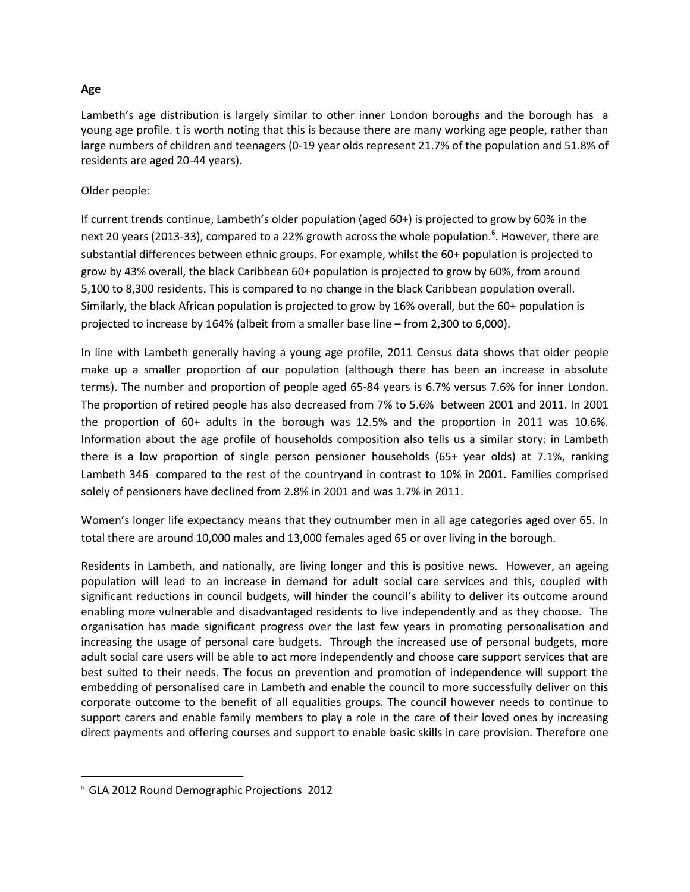# **Age**

Lambeth's age distribution is largely similar to other inner London boroughs and the borough has a young age profile. t is worth noting that this is because there are many working age people, rather than large numbers of children and teenagers (0-19 year olds represent 21.7% of the population and 51.8% of residents are aged 20-44 years).

# Older people:

If current trends continue, Lambeth's older population (aged 60+) is projected to grow by 60% in the next 20 years (2013-33), compared to a 22% growth across the whole population.<sup>6</sup>. However, there are substantial differences between ethnic groups. For example, whilst the 60+ population is projected to grow by 43% overall, the black Caribbean 60+ population is projected to grow by 60%, from around 5,100 to 8,300 residents. This is compared to no change in the black Caribbean population overall. Similarly, the black African population is projected to grow by 16% overall, but the 60+ population is projected to increase by 164% (albeit from a smaller base line – from 2,300 to 6,000).

In line with Lambeth generally having a young age profile, 2011 Census data shows that older people make up a smaller proportion of our population (although there has been an increase in absolute terms). The number and proportion of people aged 65-84 years is 6.7% versus 7.6% for inner London. The proportion of retired people has also decreased from 7% to 5.6% between 2001 and 2011. In 2001 the proportion of 60+ adults in the borough was 12.5% and the proportion in 2011 was 10.6%. Information about the age profile of households composition also tells us a similar story: in Lambeth there is a low proportion of single person pensioner households (65+ year olds) at 7.1%, ranking Lambeth 346 compared to the rest of the countryand in contrast to 10% in 2001. Families comprised solely of pensioners have declined from 2.8% in 2001 and was 1.7% in 2011.

Women's longer life expectancy means that they outnumber men in all age categories aged over 65. In total there are around 10,000 males and 13,000 females aged 65 or over living in the borough.

Residents in Lambeth, and nationally, are living longer and this is positive news. However, an ageing population will lead to an increase in demand for adult social care services and this, coupled with significant reductions in council budgets, will hinder the council's ability to deliver its outcome around enabling more vulnerable and disadvantaged residents to live independently and as they choose. The organisation has made significant progress over the last few years in promoting personalisation and increasing the usage of personal care budgets. Through the increased use of personal budgets, more adult social care users will be able to act more independently and choose care support services that are best suited to their needs. The focus on prevention and promotion of independence will support the embedding of personalised care in Lambeth and enable the council to more successfully deliver on this corporate outcome to the benefit of all equalities groups. The council however needs to continue to support carers and enable family members to play a role in the care of their loved ones by increasing direct payments and offering courses and support to enable basic skills in care provision. Therefore one

 $\overline{\phantom{a}}$ 

<sup>6</sup> GLA 2012 Round Demographic Projections 2012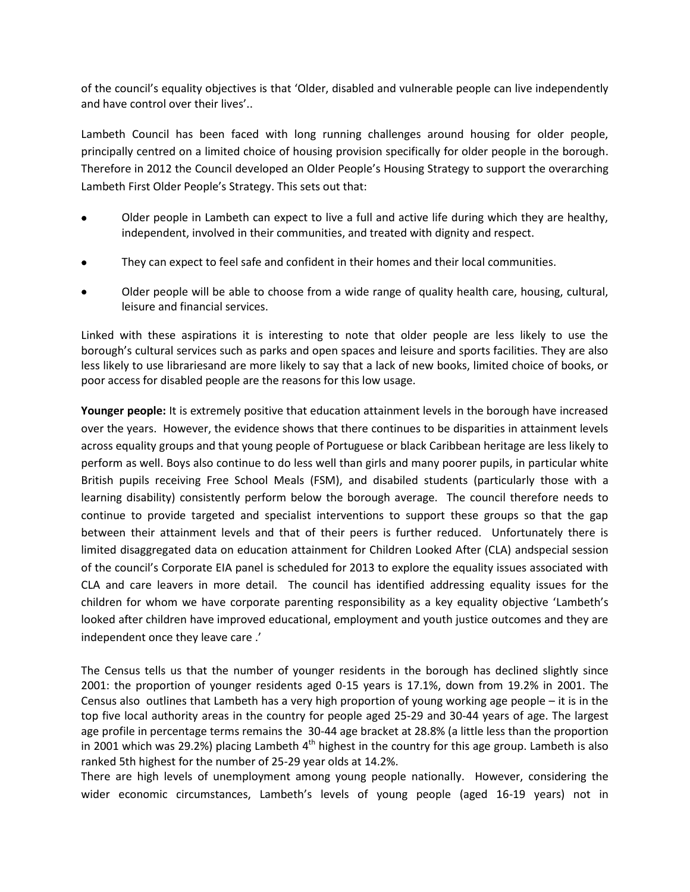of the council's equality objectives is that 'Older, disabled and vulnerable people can live independently and have control over their lives'..

Lambeth Council has been faced with long running challenges around housing for older people, principally centred on a limited choice of housing provision specifically for older people in the borough. Therefore in 2012 the Council developed an Older People's Housing Strategy to support the overarching Lambeth First Older People's Strategy. This sets out that:

- Older people in Lambeth can expect to live a full and active life during which they are healthy, independent, involved in their communities, and treated with dignity and respect.
- They can expect to feel safe and confident in their homes and their local communities.
- Older people will be able to choose from a wide range of quality health care, housing, cultural, leisure and financial services.

Linked with these aspirations it is interesting to note that older people are less likely to use the borough's cultural services such as parks and open spaces and leisure and sports facilities. They are also less likely to use librariesand are more likely to say that a lack of new books, limited choice of books, or poor access for disabled people are the reasons for this low usage.

**Younger people:** It is extremely positive that education attainment levels in the borough have increased over the years. However, the evidence shows that there continues to be disparities in attainment levels across equality groups and that young people of Portuguese or black Caribbean heritage are less likely to perform as well. Boys also continue to do less well than girls and many poorer pupils, in particular white British pupils receiving Free School Meals (FSM), and disabiled students (particularly those with a learning disability) consistently perform below the borough average. The council therefore needs to continue to provide targeted and specialist interventions to support these groups so that the gap between their attainment levels and that of their peers is further reduced. Unfortunately there is limited disaggregated data on education attainment for Children Looked After (CLA) andspecial session of the council's Corporate EIA panel is scheduled for 2013 to explore the equality issues associated with CLA and care leavers in more detail. The council has identified addressing equality issues for the children for whom we have corporate parenting responsibility as a key equality objective 'Lambeth's looked after children have improved educational, employment and youth justice outcomes and they are independent once they leave care .'

The Census tells us that the number of younger residents in the borough has declined slightly since 2001: the proportion of younger residents aged 0-15 years is 17.1%, down from 19.2% in 2001. The Census also outlines that Lambeth has a very high proportion of young working age people – it is in the top five local authority areas in the country for people aged 25-29 and 30-44 years of age. The largest age profile in percentage terms remains the 30-44 age bracket at 28.8% (a little less than the proportion in 2001 which was 29.2%) placing Lambeth 4<sup>th</sup> highest in the country for this age group. Lambeth is also ranked 5th highest for the number of 25-29 year olds at 14.2%.

There are high levels of unemployment among young people nationally. However, considering the wider economic circumstances, Lambeth's levels of young people (aged 16-19 years) not in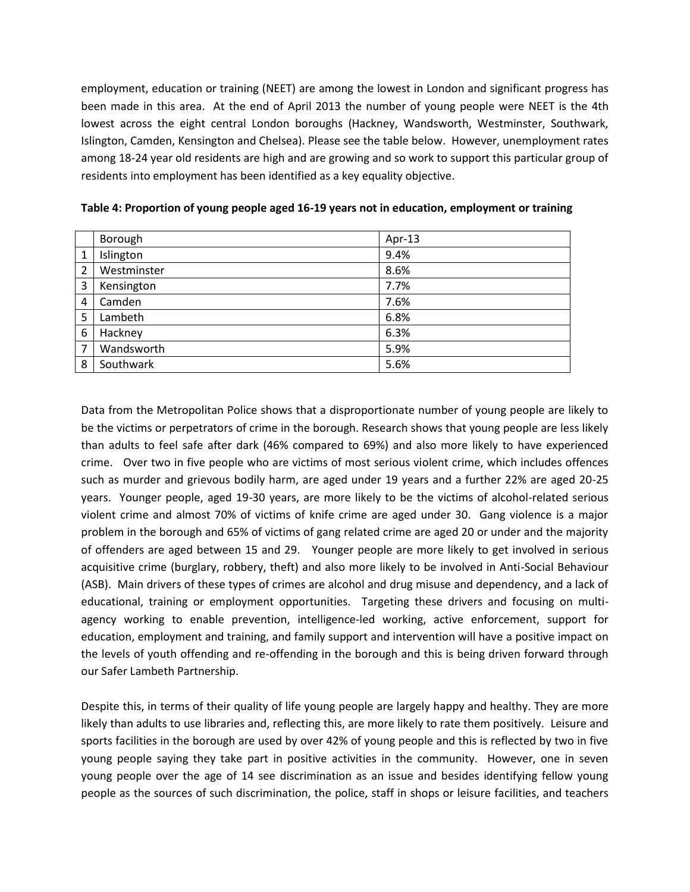employment, education or training (NEET) are among the lowest in London and significant progress has been made in this area. At the end of April 2013 the number of young people were NEET is the 4th lowest across the eight central London boroughs (Hackney, Wandsworth, Westminster, Southwark, Islington, Camden, Kensington and Chelsea). Please see the table below. However, unemployment rates among 18-24 year old residents are high and are growing and so work to support this particular group of residents into employment has been identified as a key equality objective.

|   | Borough     | Apr-13 |
|---|-------------|--------|
|   | Islington   | 9.4%   |
| 2 | Westminster | 8.6%   |
| 3 | Kensington  | 7.7%   |
| 4 | Camden      | 7.6%   |
| 5 | Lambeth     | 6.8%   |
| 6 | Hackney     | 6.3%   |
| 7 | Wandsworth  | 5.9%   |
| 8 | Southwark   | 5.6%   |

**Table 4: Proportion of young people aged 16-19 years not in education, employment or training** 

Data from the Metropolitan Police shows that a disproportionate number of young people are likely to be the victims or perpetrators of crime in the borough. Research shows that young people are less likely than adults to feel safe after dark (46% compared to 69%) and also more likely to have experienced crime. Over two in five people who are victims of most serious violent crime, which includes offences such as murder and grievous bodily harm, are aged under 19 years and a further 22% are aged 20-25 years. Younger people, aged 19-30 years, are more likely to be the victims of alcohol-related serious violent crime and almost 70% of victims of knife crime are aged under 30. Gang violence is a major problem in the borough and 65% of victims of gang related crime are aged 20 or under and the majority of offenders are aged between 15 and 29. Younger people are more likely to get involved in serious acquisitive crime (burglary, robbery, theft) and also more likely to be involved in Anti-Social Behaviour (ASB). Main drivers of these types of crimes are alcohol and drug misuse and dependency, and a lack of educational, training or employment opportunities. Targeting these drivers and focusing on multiagency working to enable prevention, intelligence-led working, active enforcement, support for education, employment and training, and family support and intervention will have a positive impact on the levels of youth offending and re-offending in the borough and this is being driven forward through our Safer Lambeth Partnership.

Despite this, in terms of their quality of life young people are largely happy and healthy. They are more likely than adults to use libraries and, reflecting this, are more likely to rate them positively. Leisure and sports facilities in the borough are used by over 42% of young people and this is reflected by two in five young people saying they take part in positive activities in the community. However, one in seven young people over the age of 14 see discrimination as an issue and besides identifying fellow young people as the sources of such discrimination, the police, staff in shops or leisure facilities, and teachers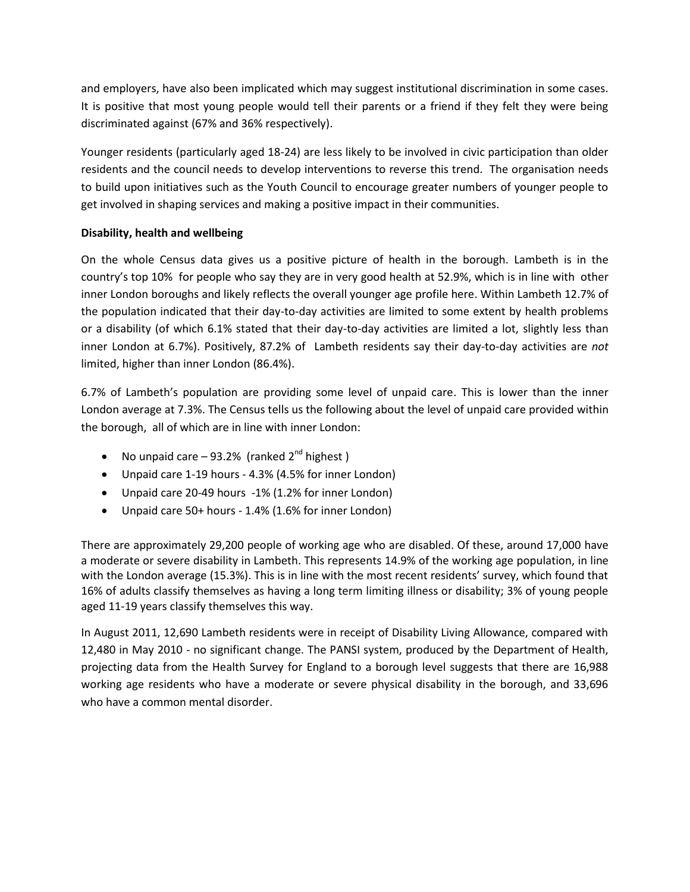and employers, have also been implicated which may suggest institutional discrimination in some cases. It is positive that most young people would tell their parents or a friend if they felt they were being discriminated against (67% and 36% respectively).

Younger residents (particularly aged 18-24) are less likely to be involved in civic participation than older residents and the council needs to develop interventions to reverse this trend. The organisation needs to build upon initiatives such as the Youth Council to encourage greater numbers of younger people to get involved in shaping services and making a positive impact in their communities.

# **Disability, health and wellbeing**

On the whole Census data gives us a positive picture of health in the borough. Lambeth is in the country's top 10% for people who say they are in very good health at 52.9%, which is in line with other inner London boroughs and likely reflects the overall younger age profile here. Within Lambeth 12.7% of the population indicated that their day-to-day activities are limited to some extent by health problems or a disability (of which 6.1% stated that their day-to-day activities are limited a lot, slightly less than inner London at 6.7%). Positively, 87.2% of Lambeth residents say their day-to-day activities are *not* limited, higher than inner London (86.4%).

6.7% of Lambeth's population are providing some level of unpaid care. This is lower than the inner London average at 7.3%. The Census tells us the following about the level of unpaid care provided within the borough, all of which are in line with inner London:

- No unpaid care  $-93.2%$  (ranked  $2<sup>nd</sup>$  highest)
- Unpaid care 1-19 hours 4.3% (4.5% for inner London)
- Unpaid care 20-49 hours -1% (1.2% for inner London)
- Unpaid care 50+ hours 1.4% (1.6% for inner London)

There are approximately 29,200 people of working age who are disabled. Of these, around 17,000 have a moderate or severe disability in Lambeth. This represents 14.9% of the working age population, in line with the London average (15.3%). This is in line with the most recent residents' survey, which found that 16% of adults classify themselves as having a long term limiting illness or disability; 3% of young people aged 11-19 years classify themselves this way.

In August 2011, 12,690 Lambeth residents were in receipt of Disability Living Allowance, compared with 12,480 in May 2010 - no significant change. The PANSI system, produced by the Department of Health, projecting data from the Health Survey for England to a borough level suggests that there are 16,988 working age residents who have a moderate or severe physical disability in the borough, and 33,696 who have a common mental disorder.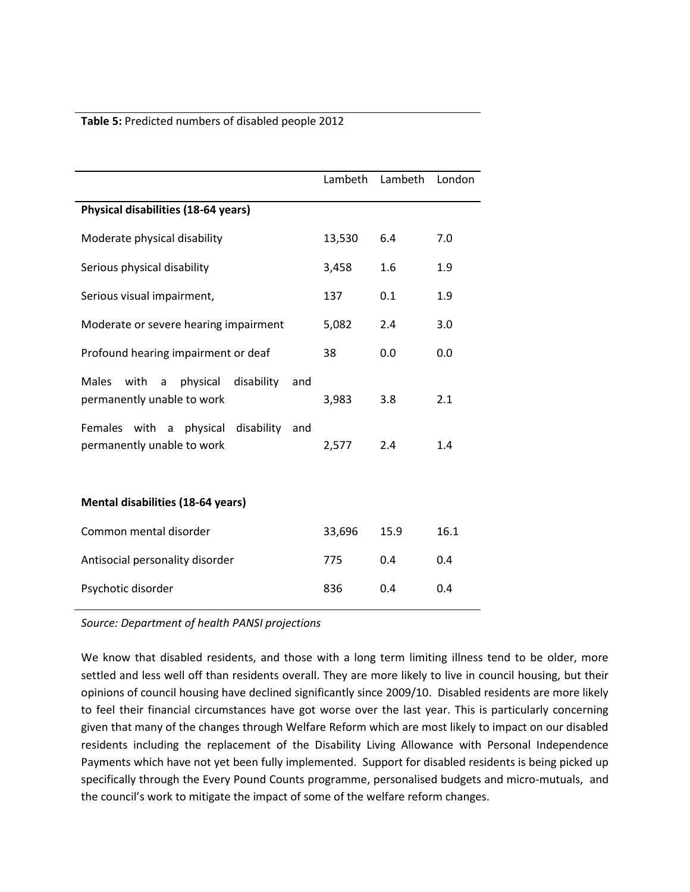#### **Table 5:** Predicted numbers of disabled people 2012

|                                                                                          | Lambeth | Lambeth | London |
|------------------------------------------------------------------------------------------|---------|---------|--------|
| Physical disabilities (18-64 years)                                                      |         |         |        |
| Moderate physical disability                                                             | 13,530  | 6.4     | 7.0    |
| Serious physical disability                                                              | 3,458   | 1.6     | 1.9    |
| Serious visual impairment,                                                               | 137     | 0.1     | 1.9    |
| Moderate or severe hearing impairment                                                    | 5,082   | 2.4     | 3.0    |
| Profound hearing impairment or deaf                                                      | 38      | 0.0     | 0.0    |
| <b>Males</b><br>with<br>physical<br>disability<br>a<br>and<br>permanently unable to work | 3,983   | 3.8     | 2.1    |
| Females<br>with<br>a physical disability<br>and<br>permanently unable to work            | 2,577   | 2.4     | 1.4    |
| <b>Mental disabilities (18-64 years)</b>                                                 |         |         |        |
| Common mental disorder                                                                   | 33,696  | 15.9    | 16.1   |
| Antisocial personality disorder                                                          | 775     | 0.4     | 0.4    |
| Psychotic disorder                                                                       | 836     | 0.4     | 0.4    |

*Source: Department of health PANSI projections*

We know that disabled residents, and those with a long term limiting illness tend to be older, more settled and less well off than residents overall. They are more likely to live in council housing, but their opinions of council housing have declined significantly since 2009/10. Disabled residents are more likely to feel their financial circumstances have got worse over the last year. This is particularly concerning given that many of the changes through Welfare Reform which are most likely to impact on our disabled residents including the replacement of the Disability Living Allowance with Personal Independence Payments which have not yet been fully implemented. Support for disabled residents is being picked up specifically through the Every Pound Counts programme, personalised budgets and micro-mutuals, and the council's work to mitigate the impact of some of the welfare reform changes.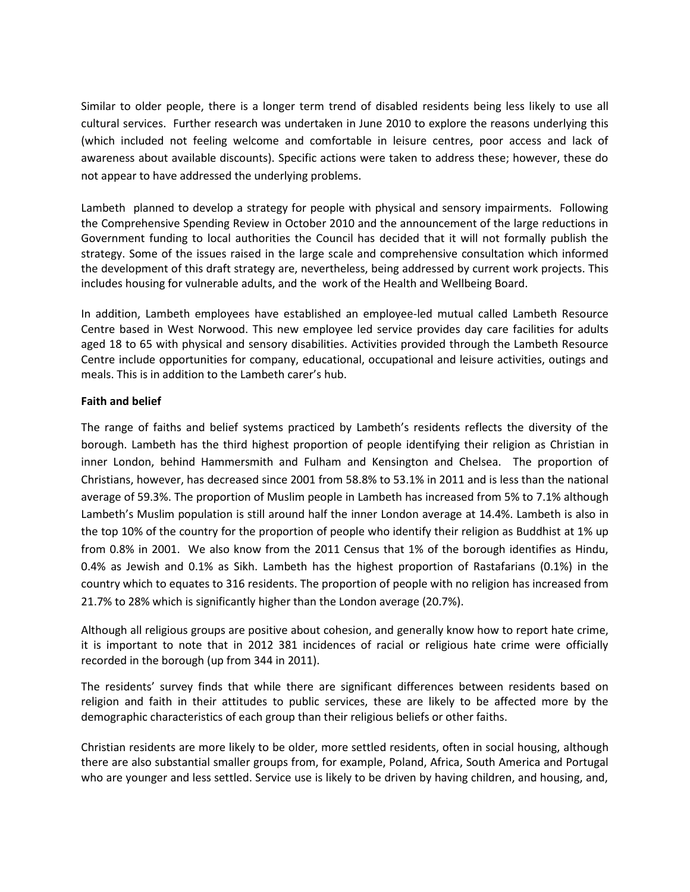Similar to older people, there is a longer term trend of disabled residents being less likely to use all cultural services. Further research was undertaken in June 2010 to explore the reasons underlying this (which included not feeling welcome and comfortable in leisure centres, poor access and lack of awareness about available discounts). Specific actions were taken to address these; however, these do not appear to have addressed the underlying problems.

Lambeth planned to develop a strategy for people with physical and sensory impairments. Following the Comprehensive Spending Review in October 2010 and the announcement of the large reductions in Government funding to local authorities the Council has decided that it will not formally publish the strategy. Some of the issues raised in the large scale and comprehensive consultation which informed the development of this draft strategy are, nevertheless, being addressed by current work projects. This includes housing for vulnerable adults, and the work of the Health and Wellbeing Board.

In addition, Lambeth employees have established an employee-led mutual called Lambeth Resource Centre based in West Norwood. This new employee led service provides day care facilities for adults aged 18 to 65 with physical and sensory disabilities. Activities provided through the Lambeth Resource Centre include opportunities for company, educational, occupational and leisure activities, outings and meals. This is in addition to the Lambeth carer's hub.

# **Faith and belief**

The range of faiths and belief systems practiced by Lambeth's residents reflects the diversity of the borough. Lambeth has the third highest proportion of people identifying their religion as Christian in inner London, behind Hammersmith and Fulham and Kensington and Chelsea. The proportion of Christians, however, has decreased since 2001 from 58.8% to 53.1% in 2011 and is less than the national average of 59.3%. The proportion of Muslim people in Lambeth has increased from 5% to 7.1% although Lambeth's Muslim population is still around half the inner London average at 14.4%. Lambeth is also in the top 10% of the country for the proportion of people who identify their religion as Buddhist at 1% up from 0.8% in 2001. We also know from the 2011 Census that 1% of the borough identifies as Hindu, 0.4% as Jewish and 0.1% as Sikh. Lambeth has the highest proportion of Rastafarians (0.1%) in the country which to equates to 316 residents. The proportion of people with no religion has increased from 21.7% to 28% which is significantly higher than the London average (20.7%).

Although all religious groups are positive about cohesion, and generally know how to report hate crime, it is important to note that in 2012 381 incidences of racial or religious hate crime were officially recorded in the borough (up from 344 in 2011).

The residents' survey finds that while there are significant differences between residents based on religion and faith in their attitudes to public services, these are likely to be affected more by the demographic characteristics of each group than their religious beliefs or other faiths.

Christian residents are more likely to be older, more settled residents, often in social housing, although there are also substantial smaller groups from, for example, Poland, Africa, South America and Portugal who are younger and less settled. Service use is likely to be driven by having children, and housing, and,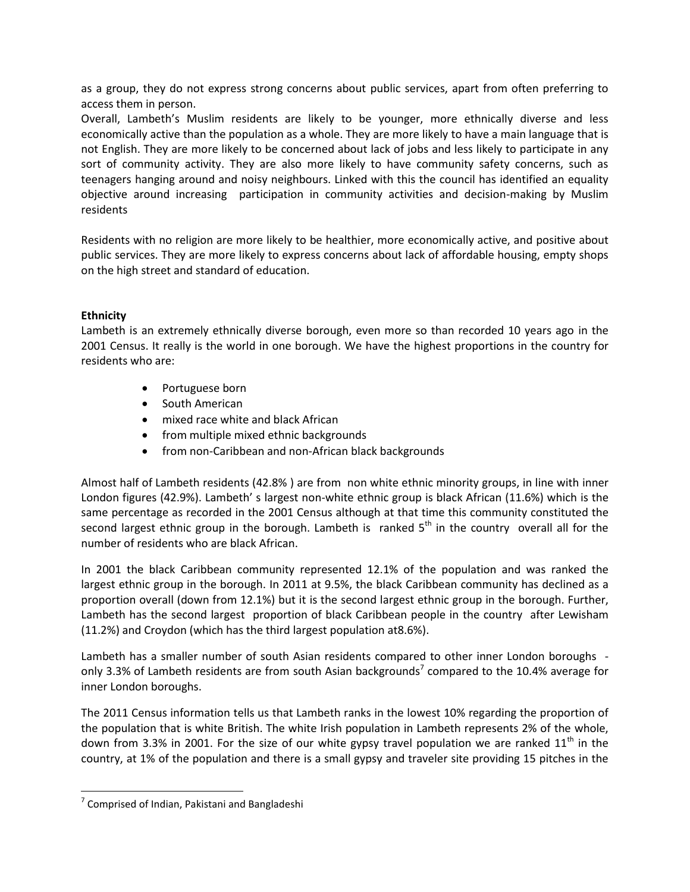as a group, they do not express strong concerns about public services, apart from often preferring to access them in person.

Overall, Lambeth's Muslim residents are likely to be younger, more ethnically diverse and less economically active than the population as a whole. They are more likely to have a main language that is not English. They are more likely to be concerned about lack of jobs and less likely to participate in any sort of community activity. They are also more likely to have community safety concerns, such as teenagers hanging around and noisy neighbours. Linked with this the council has identified an equality objective around increasing participation in community activities and decision-making by Muslim residents

Residents with no religion are more likely to be healthier, more economically active, and positive about public services. They are more likely to express concerns about lack of affordable housing, empty shops on the high street and standard of education.

# **Ethnicity**

Lambeth is an extremely ethnically diverse borough, even more so than recorded 10 years ago in the 2001 Census. It really is the world in one borough. We have the highest proportions in the country for residents who are:

- Portuguese born
- South American
- mixed race white and black African
- from multiple mixed ethnic backgrounds
- from non-Caribbean and non-African black backgrounds

Almost half of Lambeth residents (42.8% ) are from non white ethnic minority groups, in line with inner London figures (42.9%). Lambeth' s largest non-white ethnic group is black African (11.6%) which is the same percentage as recorded in the 2001 Census although at that time this community constituted the second largest ethnic group in the borough. Lambeth is ranked  $5<sup>th</sup>$  in the country overall all for the number of residents who are black African.

In 2001 the black Caribbean community represented 12.1% of the population and was ranked the largest ethnic group in the borough. In 2011 at 9.5%, the black Caribbean community has declined as a proportion overall (down from 12.1%) but it is the second largest ethnic group in the borough. Further, Lambeth has the second largest proportion of black Caribbean people in the country after Lewisham (11.2%) and Croydon (which has the third largest population at8.6%).

Lambeth has a smaller number of south Asian residents compared to other inner London boroughs only 3.3% of Lambeth residents are from south Asian backgrounds<sup>7</sup> compared to the 10.4% average for inner London boroughs.

The 2011 Census information tells us that Lambeth ranks in the lowest 10% regarding the proportion of the population that is white British. The white Irish population in Lambeth represents 2% of the whole, down from 3.3% in 2001. For the size of our white gypsy travel population we are ranked  $11<sup>th</sup>$  in the country, at 1% of the population and there is a small gypsy and traveler site providing 15 pitches in the

 $\overline{\phantom{a}}$ 

 $<sup>7</sup>$  Comprised of Indian, Pakistani and Bangladeshi</sup>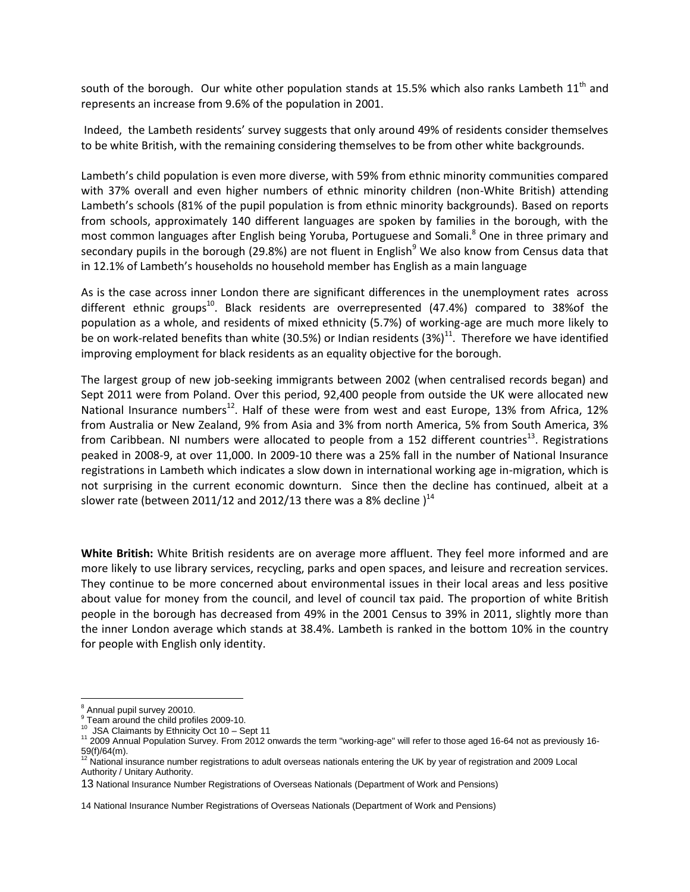south of the borough. Our white other population stands at 15.5% which also ranks Lambeth  $11<sup>th</sup>$  and represents an increase from 9.6% of the population in 2001.

Indeed, the Lambeth residents' survey suggests that only around 49% of residents consider themselves to be white British, with the remaining considering themselves to be from other white backgrounds.

Lambeth's child population is even more diverse, with 59% from ethnic minority communities compared with 37% overall and even higher numbers of ethnic minority children (non-White British) attending Lambeth's schools (81% of the pupil population is from ethnic minority backgrounds). Based on reports from schools, approximately 140 different languages are spoken by families in the borough, with the most common languages after English being Yoruba, Portuguese and Somali.<sup>8</sup> One in three primary and secondary pupils in the borough (29.8%) are not fluent in English<sup>9</sup> We also know from Census data that in 12.1% of Lambeth's households no household member has English as a main language

As is the case across inner London there are significant differences in the unemployment rates across different ethnic groups<sup>10</sup>. Black residents are overrepresented (47.4%) compared to 38%of the population as a whole, and residents of mixed ethnicity (5.7%) of working-age are much more likely to be on work-related benefits than white (30.5%) or Indian residents (3%)<sup>11</sup>. Therefore we have identified improving employment for black residents as an equality objective for the borough.

The largest group of new job-seeking immigrants between 2002 (when centralised records began) and Sept 2011 were from Poland. Over this period, 92,400 people from outside the UK were allocated new National Insurance numbers<sup>12</sup>. Half of these were from west and east Europe, 13% from Africa, 12% from Australia or New Zealand, 9% from Asia and 3% from north America, 5% from South America, 3% from Caribbean. NI numbers were allocated to people from a 152 different countries<sup>13</sup>. Registrations peaked in 2008-9, at over 11,000. In 2009-10 there was a 25% fall in the number of National Insurance registrations in Lambeth which indicates a slow down in international working age in-migration, which is not surprising in the current economic downturn. Since then the decline has continued, albeit at a slower rate (between 2011/12 and 2012/13 there was a 8% decline  $)^{14}$ 

**White British:** White British residents are on average more affluent. They feel more informed and are more likely to use library services, recycling, parks and open spaces, and leisure and recreation services. They continue to be more concerned about environmental issues in their local areas and less positive about value for money from the council, and level of council tax paid. The proportion of white British people in the borough has decreased from 49% in the 2001 Census to 39% in 2011, slightly more than the inner London average which stands at 38.4%. Lambeth is ranked in the bottom 10% in the country for people with English only identity.

 $\overline{\phantom{a}}$ <sup>8</sup> Annual pupil survey 20010.

<sup>&</sup>lt;sup>9</sup> Team around the child profiles 2009-10.

<sup>10</sup> JSA Claimants by Ethnicity Oct 10 – Sept 11

<sup>&</sup>lt;sup>11</sup> 2009 Annual Population Survey. From 2012 onwards the term "working-age" will refer to those aged 16-64 not as previously 16-59(f)/64(m).

<sup>12</sup> National insurance number registrations to adult overseas nationals entering the UK by year of registration and 2009 Local Authority / Unitary Authority.

<sup>13</sup> National Insurance Number Registrations of Overseas Nationals (Department of Work and Pensions)

<sup>14</sup> National Insurance Number Registrations of Overseas Nationals (Department of Work and Pensions)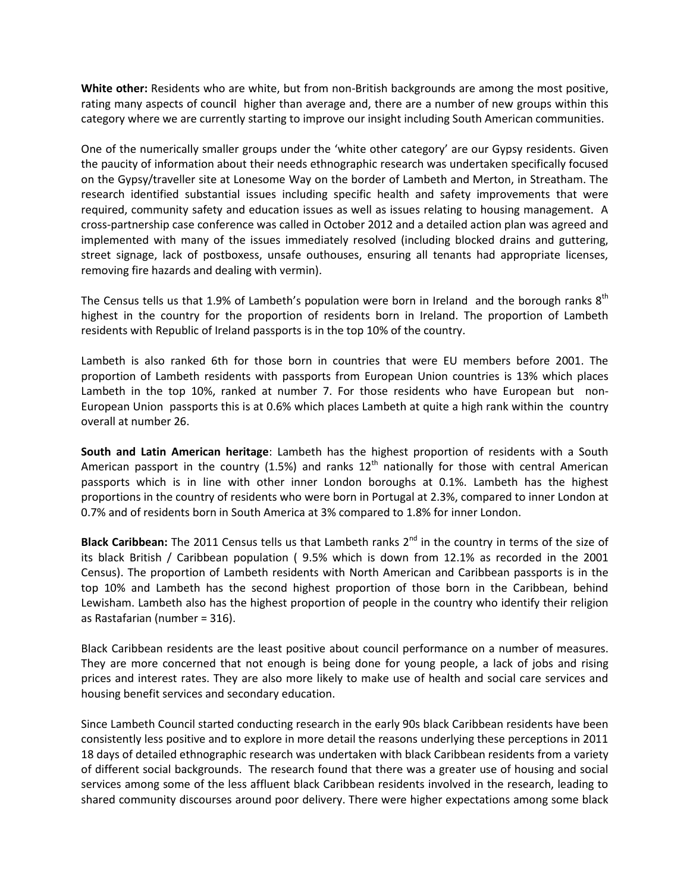**White other:** Residents who are white, but from non-British backgrounds are among the most positive, rating many aspects of counc**i**l higher than average and, there are a number of new groups within this category where we are currently starting to improve our insight including South American communities.

One of the numerically smaller groups under the 'white other category' are our Gypsy residents. Given the paucity of information about their needs ethnographic research was undertaken specifically focused on the Gypsy/traveller site at Lonesome Way on the border of Lambeth and Merton, in Streatham. The research identified substantial issues including specific health and safety improvements that were required, community safety and education issues as well as issues relating to housing management. A cross-partnership case conference was called in October 2012 and a detailed action plan was agreed and implemented with many of the issues immediately resolved (including blocked drains and guttering, street signage, lack of postboxess, unsafe outhouses, ensuring all tenants had appropriate licenses, removing fire hazards and dealing with vermin).

The Census tells us that 1.9% of Lambeth's population were born in Ireland and the borough ranks  $8<sup>th</sup>$ highest in the country for the proportion of residents born in Ireland. The proportion of Lambeth residents with Republic of Ireland passports is in the top 10% of the country.

Lambeth is also ranked 6th for those born in countries that were EU members before 2001. The proportion of Lambeth residents with passports from European Union countries is 13% which places Lambeth in the top 10%, ranked at number 7. For those residents who have European but non-European Union passports this is at 0.6% which places Lambeth at quite a high rank within the country overall at number 26.

**South and Latin American heritage**: Lambeth has the highest proportion of residents with a South American passport in the country (1.5%) and ranks  $12<sup>th</sup>$  nationally for those with central American passports which is in line with other inner London boroughs at 0.1%. Lambeth has the highest proportions in the country of residents who were born in Portugal at 2.3%, compared to inner London at 0.7% and of residents born in South America at 3% compared to 1.8% for inner London.

**Black Caribbean:** The 2011 Census tells us that Lambeth ranks 2<sup>nd</sup> in the country in terms of the size of its black British / Caribbean population ( 9.5% which is down from 12.1% as recorded in the 2001 Census). The proportion of Lambeth residents with North American and Caribbean passports is in the top 10% and Lambeth has the second highest proportion of those born in the Caribbean, behind Lewisham. Lambeth also has the highest proportion of people in the country who identify their religion as Rastafarian (number = 316).

Black Caribbean residents are the least positive about council performance on a number of measures. They are more concerned that not enough is being done for young people, a lack of jobs and rising prices and interest rates. They are also more likely to make use of health and social care services and housing benefit services and secondary education.

Since Lambeth Council started conducting research in the early 90s black Caribbean residents have been consistently less positive and to explore in more detail the reasons underlying these perceptions in 2011 18 days of detailed ethnographic research was undertaken with black Caribbean residents from a variety of different social backgrounds. The research found that there was a greater use of housing and social services among some of the less affluent black Caribbean residents involved in the research, leading to shared community discourses around poor delivery. There were higher expectations among some black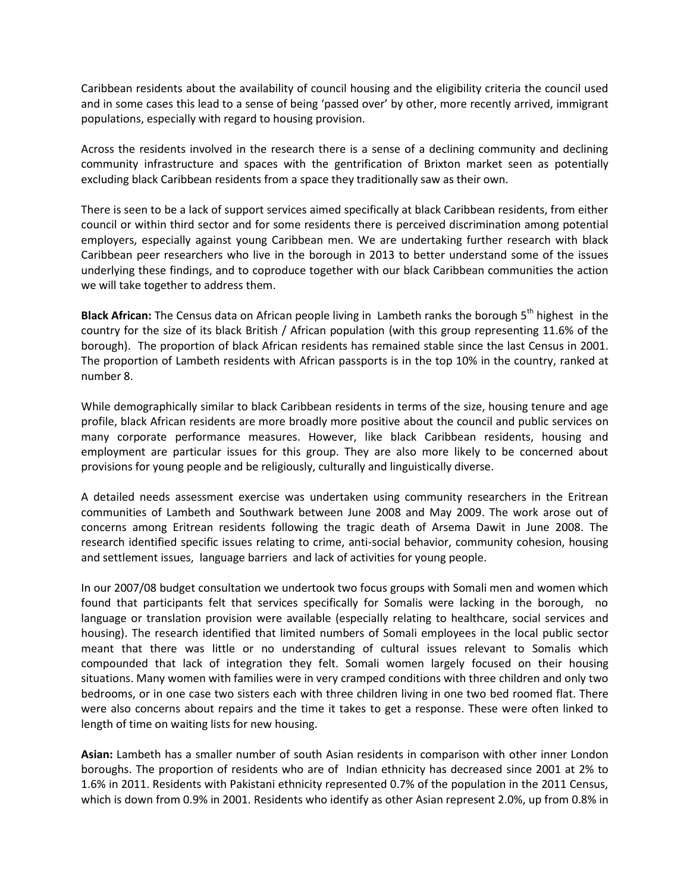Caribbean residents about the availability of council housing and the eligibility criteria the council used and in some cases this lead to a sense of being 'passed over' by other, more recently arrived, immigrant populations, especially with regard to housing provision.

Across the residents involved in the research there is a sense of a declining community and declining community infrastructure and spaces with the gentrification of Brixton market seen as potentially excluding black Caribbean residents from a space they traditionally saw as their own.

There is seen to be a lack of support services aimed specifically at black Caribbean residents, from either council or within third sector and for some residents there is perceived discrimination among potential employers, especially against young Caribbean men. We are undertaking further research with black Caribbean peer researchers who live in the borough in 2013 to better understand some of the issues underlying these findings, and to coproduce together with our black Caribbean communities the action we will take together to address them.

**Black African:** The Census data on African people living in Lambeth ranks the borough 5<sup>th</sup> highest in the country for the size of its black British / African population (with this group representing 11.6% of the borough). The proportion of black African residents has remained stable since the last Census in 2001. The proportion of Lambeth residents with African passports is in the top 10% in the country, ranked at number 8.

While demographically similar to black Caribbean residents in terms of the size, housing tenure and age profile, black African residents are more broadly more positive about the council and public services on many corporate performance measures. However, like black Caribbean residents, housing and employment are particular issues for this group. They are also more likely to be concerned about provisions for young people and be religiously, culturally and linguistically diverse.

A detailed needs assessment exercise was undertaken using community researchers in the Eritrean communities of Lambeth and Southwark between June 2008 and May 2009. The work arose out of concerns among Eritrean residents following the tragic death of Arsema Dawit in June 2008. The research identified specific issues relating to crime, anti-social behavior, community cohesion, housing and settlement issues, language barriers and lack of activities for young people.

In our 2007/08 budget consultation we undertook two focus groups with Somali men and women which found that participants felt that services specifically for Somalis were lacking in the borough, no language or translation provision were available (especially relating to healthcare, social services and housing). The research identified that limited numbers of Somali employees in the local public sector meant that there was little or no understanding of cultural issues relevant to Somalis which compounded that lack of integration they felt. Somali women largely focused on their housing situations. Many women with families were in very cramped conditions with three children and only two bedrooms, or in one case two sisters each with three children living in one two bed roomed flat. There were also concerns about repairs and the time it takes to get a response. These were often linked to length of time on waiting lists for new housing.

**Asian:** Lambeth has a smaller number of south Asian residents in comparison with other inner London boroughs. The proportion of residents who are of Indian ethnicity has decreased since 2001 at 2% to 1.6% in 2011. Residents with Pakistani ethnicity represented 0.7% of the population in the 2011 Census, which is down from 0.9% in 2001. Residents who identify as other Asian represent 2.0%, up from 0.8% in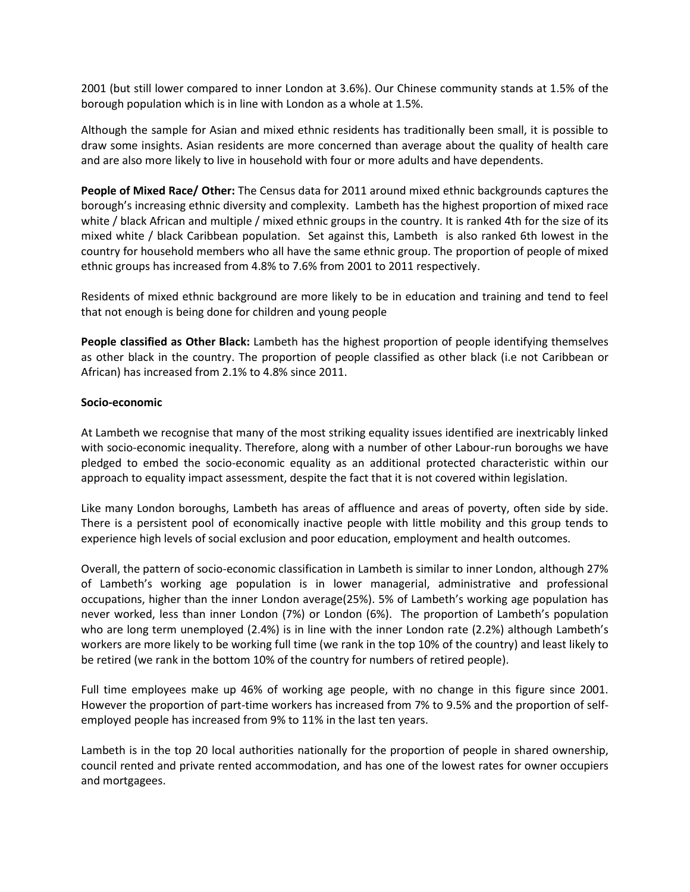2001 (but still lower compared to inner London at 3.6%). Our Chinese community stands at 1.5% of the borough population which is in line with London as a whole at 1.5%.

Although the sample for Asian and mixed ethnic residents has traditionally been small, it is possible to draw some insights. Asian residents are more concerned than average about the quality of health care and are also more likely to live in household with four or more adults and have dependents.

**People of Mixed Race/ Other:** The Census data for 2011 around mixed ethnic backgrounds captures the borough's increasing ethnic diversity and complexity. Lambeth has the highest proportion of mixed race white / black African and multiple / mixed ethnic groups in the country. It is ranked 4th for the size of its mixed white / black Caribbean population. Set against this, Lambeth is also ranked 6th lowest in the country for household members who all have the same ethnic group. The proportion of people of mixed ethnic groups has increased from 4.8% to 7.6% from 2001 to 2011 respectively.

Residents of mixed ethnic background are more likely to be in education and training and tend to feel that not enough is being done for children and young people

**People classified as Other Black:** Lambeth has the highest proportion of people identifying themselves as other black in the country. The proportion of people classified as other black (i.e not Caribbean or African) has increased from 2.1% to 4.8% since 2011.

#### **Socio-economic**

At Lambeth we recognise that many of the most striking equality issues identified are inextricably linked with socio-economic inequality. Therefore, along with a number of other Labour-run boroughs we have pledged to embed the socio-economic equality as an additional protected characteristic within our approach to equality impact assessment, despite the fact that it is not covered within legislation.

Like many London boroughs, Lambeth has areas of affluence and areas of poverty, often side by side. There is a persistent pool of economically inactive people with little mobility and this group tends to experience high levels of social exclusion and poor education, employment and health outcomes.

Overall, the pattern of socio-economic classification in Lambeth is similar to inner London, although 27% of Lambeth's working age population is in lower managerial, administrative and professional occupations, higher than the inner London average(25%). 5% of Lambeth's working age population has never worked, less than inner London (7%) or London (6%). The proportion of Lambeth's population who are long term unemployed (2.4%) is in line with the inner London rate (2.2%) although Lambeth's workers are more likely to be working full time (we rank in the top 10% of the country) and least likely to be retired (we rank in the bottom 10% of the country for numbers of retired people).

Full time employees make up 46% of working age people, with no change in this figure since 2001. However the proportion of part-time workers has increased from 7% to 9.5% and the proportion of selfemployed people has increased from 9% to 11% in the last ten years.

Lambeth is in the top 20 local authorities nationally for the proportion of people in shared ownership, council rented and private rented accommodation, and has one of the lowest rates for owner occupiers and mortgagees.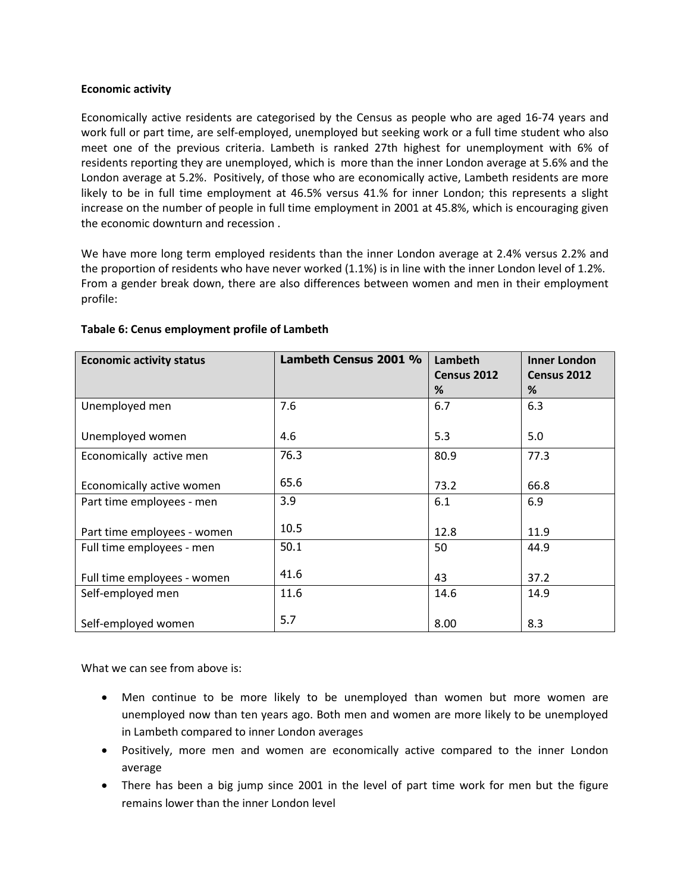#### **Economic activity**

Economically active residents are categorised by the Census as people who are aged 16-74 years and work full or part time, are self-employed, unemployed but seeking work or a full time student who also meet one of the previous criteria. Lambeth is ranked 27th highest for unemployment with 6% of residents reporting they are unemployed, which is more than the inner London average at 5.6% and the London average at 5.2%. Positively, of those who are economically active, Lambeth residents are more likely to be in full time employment at 46.5% versus 41.% for inner London; this represents a slight increase on the number of people in full time employment in 2001 at 45.8%, which is encouraging given the economic downturn and recession .

We have more long term employed residents than the inner London average at 2.4% versus 2.2% and the proportion of residents who have never worked (1.1%) is in line with the inner London level of 1.2%. From a gender break down, there are also differences between women and men in their employment profile:

| <b>Economic activity status</b> | Lambeth Census 2001 % | Lambeth<br>Census 2012<br>% | <b>Inner London</b><br>Census 2012<br>% |
|---------------------------------|-----------------------|-----------------------------|-----------------------------------------|
| Unemployed men                  | 7.6                   | 6.7                         | 6.3                                     |
| Unemployed women                | 4.6                   | 5.3                         | 5.0                                     |
| Economically active men         | 76.3                  | 80.9                        | 77.3                                    |
| Economically active women       | 65.6                  | 73.2                        | 66.8                                    |
| Part time employees - men       | 3.9                   | 6.1                         | 6.9                                     |
| Part time employees - women     | 10.5                  | 12.8                        | 11.9                                    |
| Full time employees - men       | 50.1                  | 50                          | 44.9                                    |
| Full time employees - women     | 41.6                  | 43                          | 37.2                                    |
| Self-employed men               | 11.6                  | 14.6                        | 14.9                                    |
| Self-employed women             | 5.7                   | 8.00                        | 8.3                                     |

#### **Tabale 6: Cenus employment profile of Lambeth**

What we can see from above is:

- Men continue to be more likely to be unemployed than women but more women are unemployed now than ten years ago. Both men and women are more likely to be unemployed in Lambeth compared to inner London averages
- Positively, more men and women are economically active compared to the inner London average
- There has been a big jump since 2001 in the level of part time work for men but the figure remains lower than the inner London level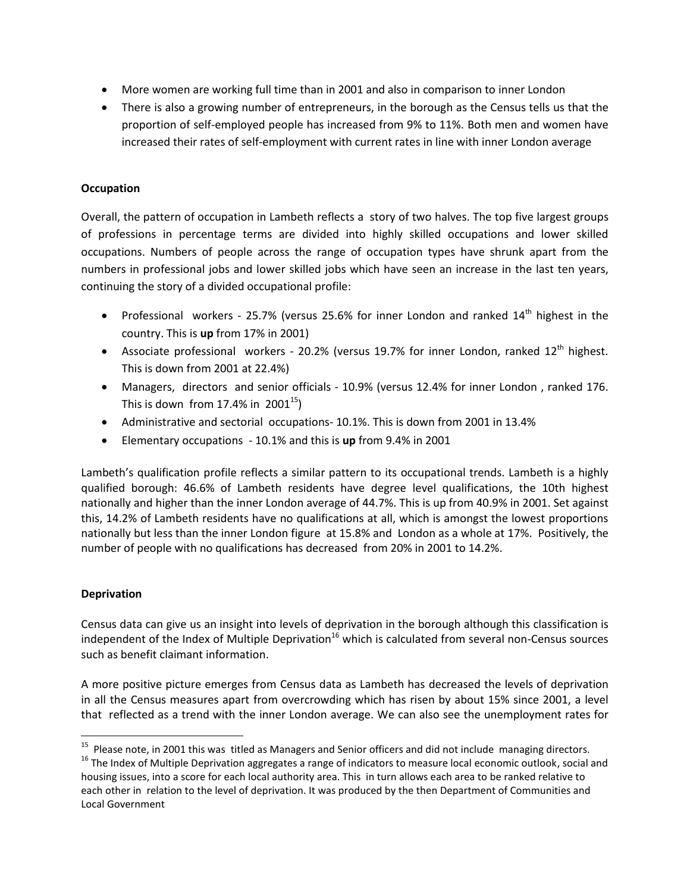- More women are working full time than in 2001 and also in comparison to inner London
- There is also a growing number of entrepreneurs, in the borough as the Census tells us that the proportion of self-employed people has increased from 9% to 11%. Both men and women have increased their rates of self-employment with current rates in line with inner London average

# **Occupation**

Overall, the pattern of occupation in Lambeth reflects a story of two halves. The top five largest groups of professions in percentage terms are divided into highly skilled occupations and lower skilled occupations. Numbers of people across the range of occupation types have shrunk apart from the numbers in professional jobs and lower skilled jobs which have seen an increase in the last ten years, continuing the story of a divided occupational profile:

- Professional workers 25.7% (versus 25.6% for inner London and ranked  $14<sup>th</sup>$  highest in the country. This is **up** from 17% in 2001)
- Associate professional workers 20.2% (versus 19.7% for inner London, ranked  $12<sup>th</sup>$  highest. This is down from 2001 at 22.4%)
- Managers, directors and senior officials 10.9% (versus 12.4% for inner London , ranked 176. This is down from 17.4% in  $2001^{15}$ )
- Administrative and sectorial occupations- 10.1%. This is down from 2001 in 13.4%
- Elementary occupations 10.1% and this is **up** from 9.4% in 2001

Lambeth's qualification profile reflects a similar pattern to its occupational trends. Lambeth is a highly qualified borough: 46.6% of Lambeth residents have degree level qualifications, the 10th highest nationally and higher than the inner London average of 44.7%. This is up from 40.9% in 2001. Set against this, 14.2% of Lambeth residents have no qualifications at all, which is amongst the lowest proportions nationally but less than the inner London figure at 15.8% and London as a whole at 17%. Positively, the number of people with no qualifications has decreased from 20% in 2001 to 14.2%.

# **Deprivation**

l

Census data can give us an insight into levels of deprivation in the borough although this classification is independent of the Index of Multiple Deprivation<sup>16</sup> which is calculated from several non-Census sources such as benefit claimant information.

A more positive picture emerges from Census data as Lambeth has decreased the levels of deprivation in all the Census measures apart from overcrowding which has risen by about 15% since 2001, a level that reflected as a trend with the inner London average. We can also see the unemployment rates for

<sup>&</sup>lt;sup>15</sup> Please note, in 2001 this was titled as Managers and Senior officers and did not include managing directors.

<sup>&</sup>lt;sup>16</sup> The Index of Multiple Deprivation aggregates a range of indicators to measure local economic outlook, social and housing issues, into a score for each local authority area. This in turn allows each area to be ranked relative to each other in relation to the level of deprivation. It was produced by the then Department of Communities and Local Government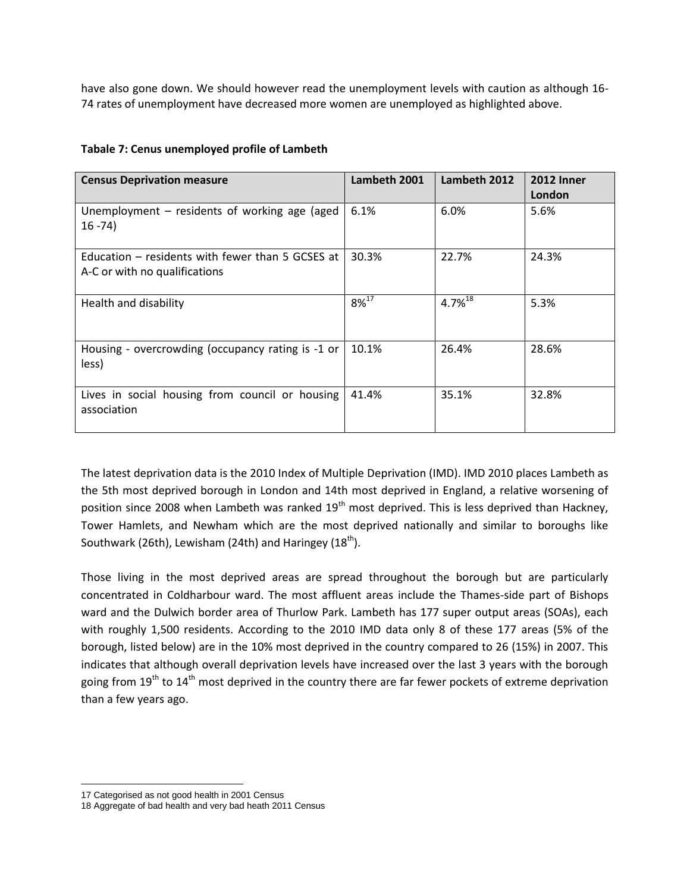have also gone down. We should however read the unemployment levels with caution as although 16- 74 rates of unemployment have decreased more women are unemployed as highlighted above.

| <b>Census Deprivation measure</b>                                                 | Lambeth 2001 | Lambeth 2012          | <b>2012 Inner</b><br>London |
|-----------------------------------------------------------------------------------|--------------|-----------------------|-----------------------------|
| Unemployment $-$ residents of working age (aged<br>$16 - 74$                      | 6.1%         | 6.0%                  | 5.6%                        |
| Education – residents with fewer than 5 GCSES at<br>A-C or with no qualifications | 30.3%        | 22.7%                 | 24.3%                       |
| Health and disability                                                             | $8\%^{17}$   | $4.7\%$ <sup>18</sup> | 5.3%                        |
| Housing - overcrowding (occupancy rating is -1 or<br>less)                        | 10.1%        | 26.4%                 | 28.6%                       |
| Lives in social housing from council or housing<br>association                    | 41.4%        | 35.1%                 | 32.8%                       |

# **Tabale 7: Cenus unemployed profile of Lambeth**

The latest deprivation data is the 2010 Index of Multiple Deprivation (IMD). IMD 2010 places Lambeth as the 5th most deprived borough in London and 14th most deprived in England, a relative worsening of position since 2008 when Lambeth was ranked 19<sup>th</sup> most deprived. This is less deprived than Hackney, Tower Hamlets, and Newham which are the most deprived nationally and similar to boroughs like Southwark (26th), Lewisham (24th) and Haringey  $(18<sup>th</sup>)$ .

Those living in the most deprived areas are spread throughout the borough but are particularly concentrated in Coldharbour ward. The most affluent areas include the Thames-side part of Bishops ward and the Dulwich border area of Thurlow Park. Lambeth has 177 super output areas (SOAs), each with roughly 1,500 residents. According to the 2010 IMD data only 8 of these 177 areas (5% of the borough, listed below) are in the 10% most deprived in the country compared to 26 (15%) in 2007. This indicates that although overall deprivation levels have increased over the last 3 years with the borough going from  $19<sup>th</sup>$  to  $14<sup>th</sup>$  most deprived in the country there are far fewer pockets of extreme deprivation than a few years ago.

l 17 Categorised as not good health in 2001 Census

<sup>18</sup> Aggregate of bad health and very bad heath 2011 Census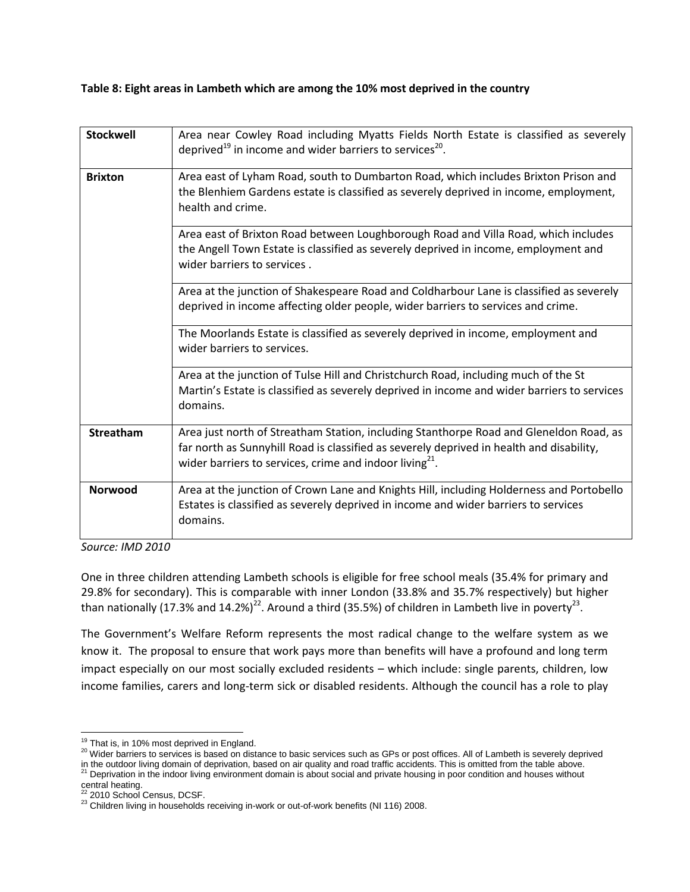# **Table 8: Eight areas in Lambeth which are among the 10% most deprived in the country**

| <b>Stockwell</b> | Area near Cowley Road including Myatts Fields North Estate is classified as severely<br>deprived <sup>19</sup> in income and wider barriers to services <sup>20</sup> .                                                                             |
|------------------|-----------------------------------------------------------------------------------------------------------------------------------------------------------------------------------------------------------------------------------------------------|
| <b>Brixton</b>   | Area east of Lyham Road, south to Dumbarton Road, which includes Brixton Prison and<br>the Blenhiem Gardens estate is classified as severely deprived in income, employment,<br>health and crime.                                                   |
|                  | Area east of Brixton Road between Loughborough Road and Villa Road, which includes<br>the Angell Town Estate is classified as severely deprived in income, employment and<br>wider barriers to services.                                            |
|                  | Area at the junction of Shakespeare Road and Coldharbour Lane is classified as severely<br>deprived in income affecting older people, wider barriers to services and crime.                                                                         |
|                  | The Moorlands Estate is classified as severely deprived in income, employment and<br>wider barriers to services.                                                                                                                                    |
|                  | Area at the junction of Tulse Hill and Christchurch Road, including much of the St<br>Martin's Estate is classified as severely deprived in income and wider barriers to services<br>domains.                                                       |
| Streatham        | Area just north of Streatham Station, including Stanthorpe Road and Gleneldon Road, as<br>far north as Sunnyhill Road is classified as severely deprived in health and disability,<br>wider barriers to services, crime and indoor living $^{21}$ . |
| <b>Norwood</b>   | Area at the junction of Crown Lane and Knights Hill, including Holderness and Portobello<br>Estates is classified as severely deprived in income and wider barriers to services<br>domains.                                                         |

*Source: IMD 2010* 

One in three children attending Lambeth schools is eligible for free school meals (35.4% for primary and 29.8% for secondary). This is comparable with inner London (33.8% and 35.7% respectively) but higher than nationally (17.3% and 14.2%)<sup>22</sup>. Around a third (35.5%) of children in Lambeth live in poverty<sup>23</sup>.

The Government's Welfare Reform represents the most radical change to the welfare system as we know it. The proposal to ensure that work pays more than benefits will have a profound and long term impact especially on our most socially excluded residents – which include: single parents, children, low income families, carers and long-term sick or disabled residents. Although the council has a role to play

 $\overline{\phantom{a}}$  $19$  That is, in 10% most deprived in England.

<sup>&</sup>lt;sup>20</sup> Wider barriers to services is based on distance to basic services such as GPs or post offices. All of Lambeth is severely deprived in the outdoor living domain of deprivation, based on air quality and road traffic accidents. This is omitted from the table above.

<sup>&</sup>lt;sup>21</sup> Deprivation in the indoor living environment domain is about social and private housing in poor condition and houses without

central heating.<br><sup>22</sup> 2010 School Census, DCSF.

<sup>23</sup> Children living in households receiving in-work or out-of-work benefits (NI 116) 2008.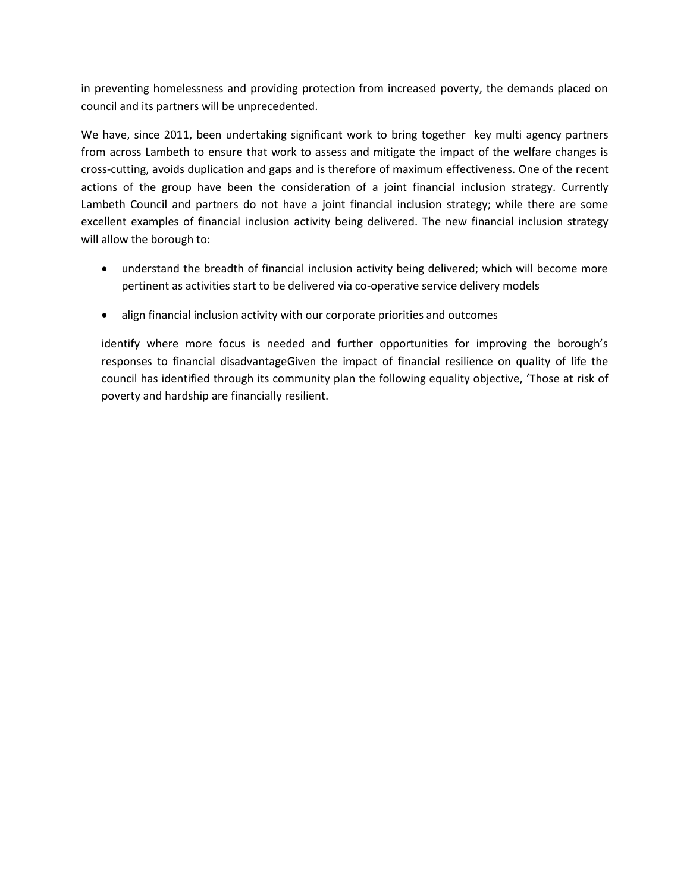in preventing homelessness and providing protection from increased poverty, the demands placed on council and its partners will be unprecedented.

We have, since 2011, been undertaking significant work to bring together key multi agency partners from across Lambeth to ensure that work to assess and mitigate the impact of the welfare changes is cross-cutting, avoids duplication and gaps and is therefore of maximum effectiveness. One of the recent actions of the group have been the consideration of a joint financial inclusion strategy. Currently Lambeth Council and partners do not have a joint financial inclusion strategy; while there are some excellent examples of financial inclusion activity being delivered. The new financial inclusion strategy will allow the borough to:

- understand the breadth of financial inclusion activity being delivered; which will become more pertinent as activities start to be delivered via co-operative service delivery models
- align financial inclusion activity with our corporate priorities and outcomes

identify where more focus is needed and further opportunities for improving the borough's responses to financial disadvantageGiven the impact of financial resilience on quality of life the council has identified through its community plan the following equality objective, 'Those at risk of poverty and hardship are financially resilient.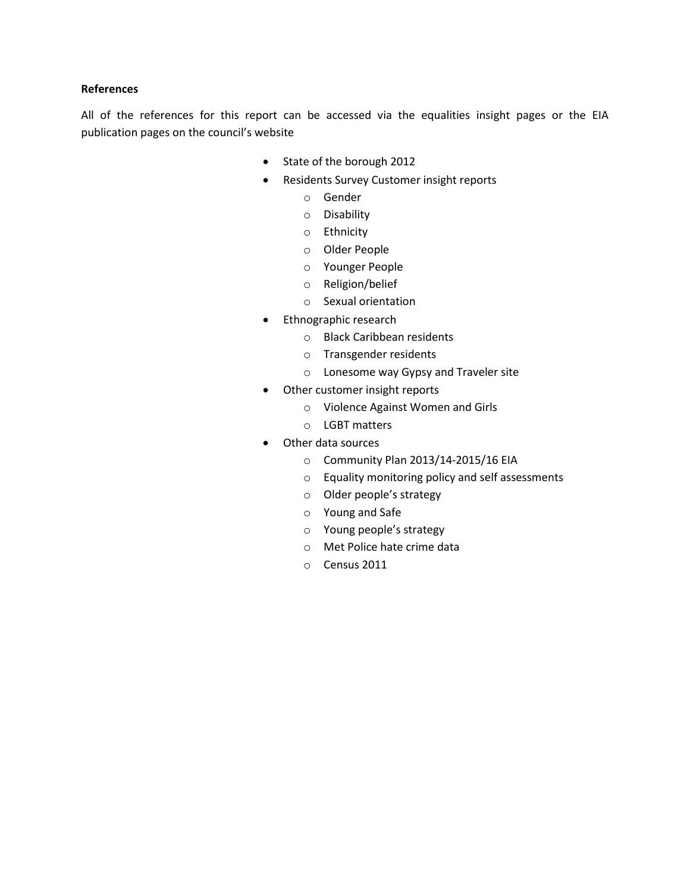#### **References**

All of the references for this report can be accessed via the equalities insight pages or the EIA publication pages on the council's website

- State of the borough 2012
- Residents Survey Customer insight reports
	- o Gender
	- o Disability
	- o Ethnicity
	- o Older People
	- o Younger People
	- o Religion/belief
	- o Sexual orientation
- Ethnographic research
	- o Black Caribbean residents
	- o Transgender residents
	- o Lonesome way Gypsy and Traveler site
- Other customer insight reports
	- o Violence Against Women and Girls
	- o LGBT matters
- Other data sources
	- o Community Plan 2013/14-2015/16 EIA
	- o Equality monitoring policy and self assessments
	- o Older people's strategy
	- o Young and Safe
	- o Young people's strategy
	- o Met Police hate crime data
	- o Census 2011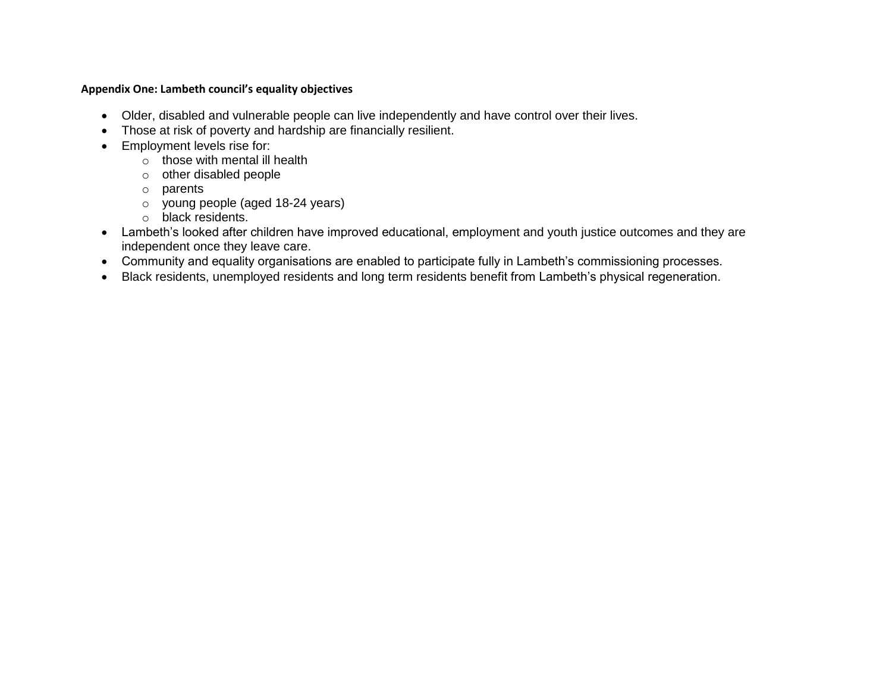# **Appendix One: Lambeth council's equality objectives**

- Older, disabled and vulnerable people can live independently and have control over their lives.
- Those at risk of poverty and hardship are financially resilient.
- **Employment levels rise for:** 
	- $\circ$  those with mental ill health
	- o other disabled people
	- o parents
	- o young people (aged 18-24 years)
	- o black residents.
- Lambeth's looked after children have improved educational, employment and youth justice outcomes and they are independent once they leave care.
- Community and equality organisations are enabled to participate fully in Lambeth's commissioning processes.
- Black residents, unemployed residents and long term residents benefit from Lambeth's physical regeneration.